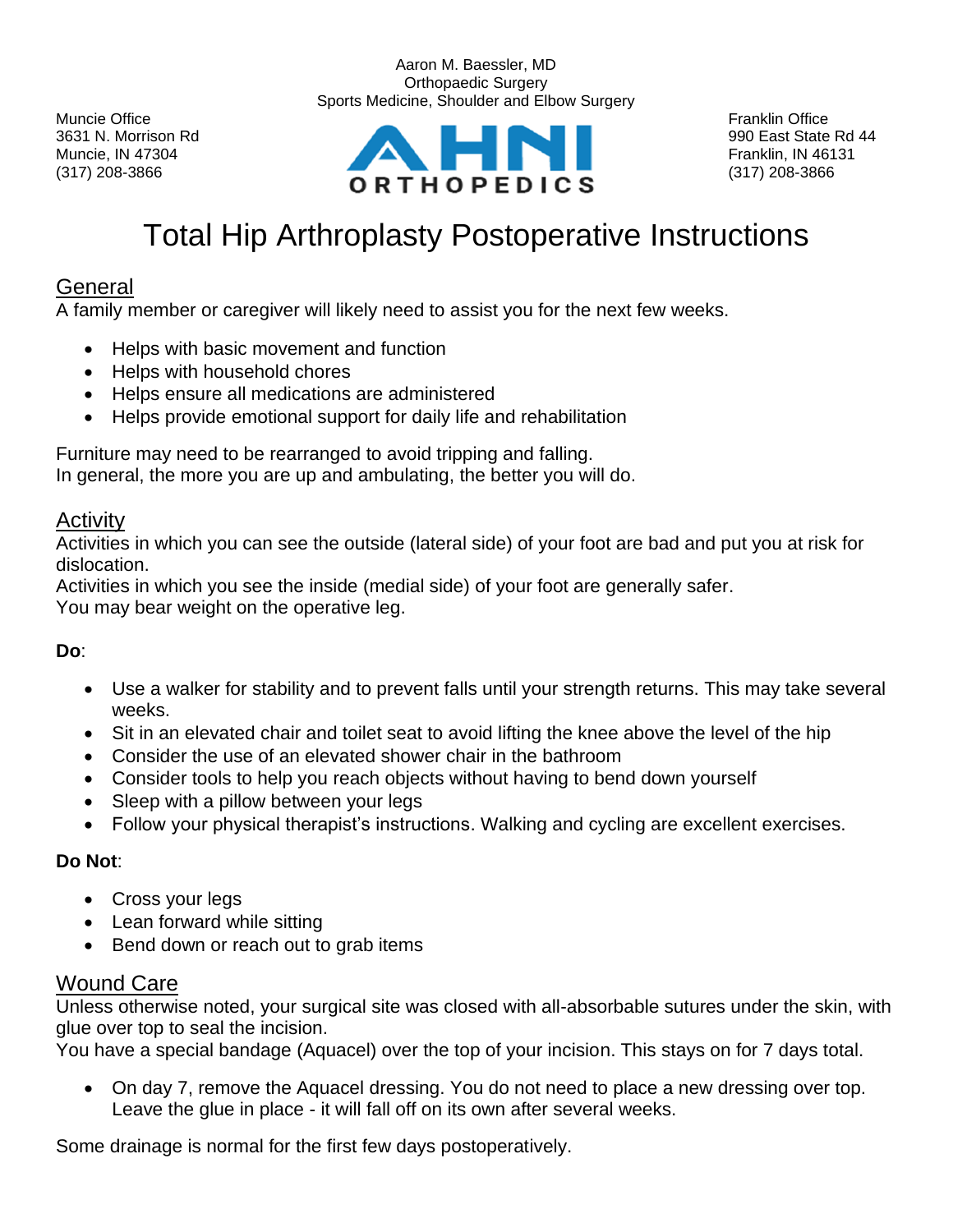

Aaron M. Baessler, MD Orthopaedic Surgery Sports Medicine, Shoulder and Elbow Surgery

# Total Hip Arthroplasty Postoperative Instructions

## General

A family member or caregiver will likely need to assist you for the next few weeks.

- Helps with basic movement and function
- Helps with household chores
- Helps ensure all medications are administered
- Helps provide emotional support for daily life and rehabilitation

Furniture may need to be rearranged to avoid tripping and falling. In general, the more you are up and ambulating, the better you will do.

### Activity

Activities in which you can see the outside (lateral side) of your foot are bad and put you at risk for dislocation.

Activities in which you see the inside (medial side) of your foot are generally safer. You may bear weight on the operative leg.

#### **Do**:

- Use a walker for stability and to prevent falls until your strength returns. This may take several weeks.
- Sit in an elevated chair and toilet seat to avoid lifting the knee above the level of the hip
- Consider the use of an elevated shower chair in the bathroom
- Consider tools to help you reach objects without having to bend down yourself
- Sleep with a pillow between your legs
- Follow your physical therapist's instructions. Walking and cycling are excellent exercises.

### **Do Not**:

- Cross your legs
- Lean forward while sitting
- Bend down or reach out to grab items

### Wound Care

Unless otherwise noted, your surgical site was closed with all-absorbable sutures under the skin, with glue over top to seal the incision.

You have a special bandage (Aquacel) over the top of your incision. This stays on for 7 days total.

• On day 7, remove the Aquacel dressing. You do not need to place a new dressing over top. Leave the glue in place - it will fall off on its own after several weeks.

Some drainage is normal for the first few days postoperatively.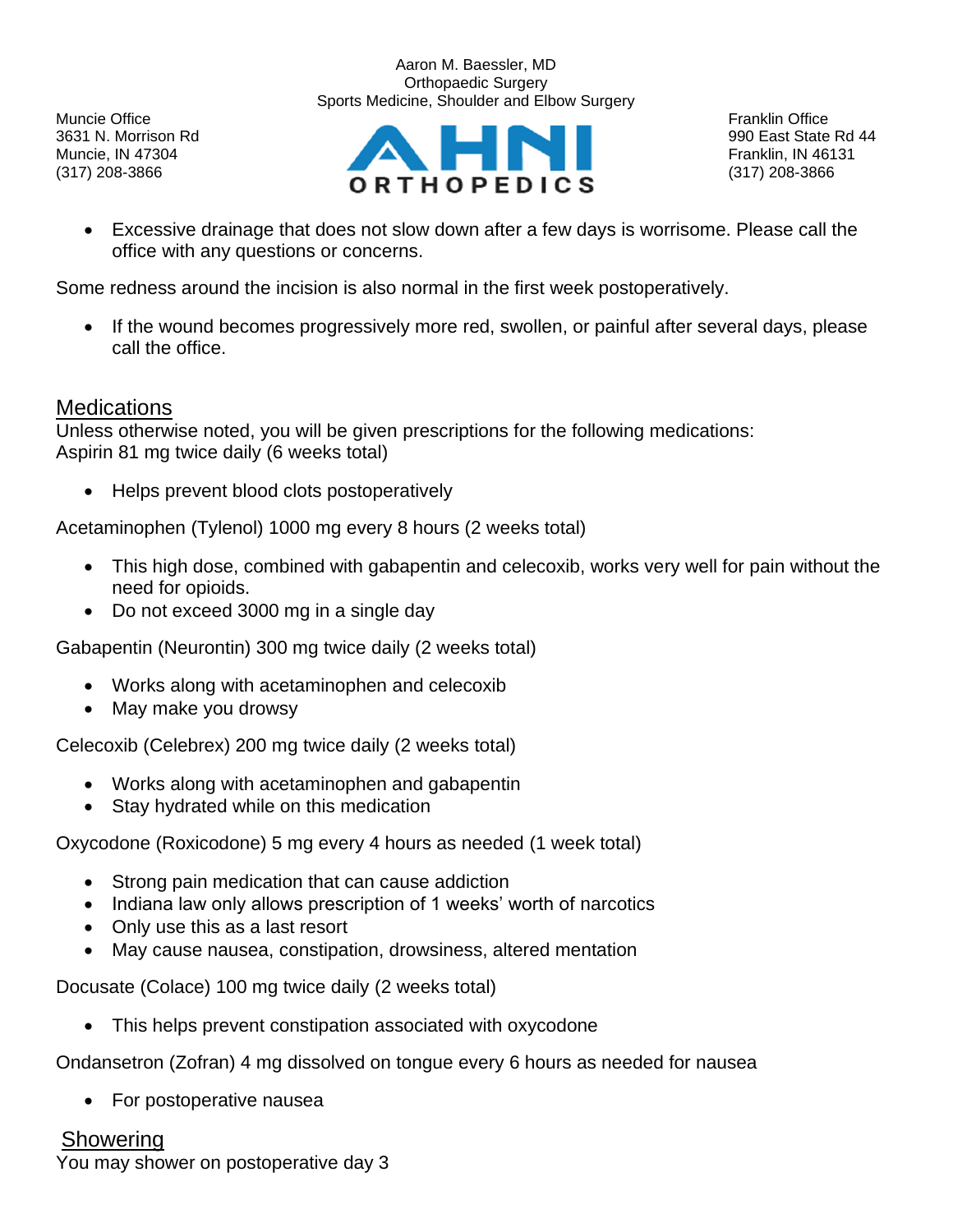Muncie Office **Franklin Office** Franklin Office **Franklin Office** Franklin Office **Franklin Office** 

Aaron M. Baessler, MD Orthopaedic Surgery Sports Medicine, Shoulder and Elbow Surgery



• Excessive drainage that does not slow down after a few days is worrisome. Please call the office with any questions or concerns.

Some redness around the incision is also normal in the first week postoperatively.

• If the wound becomes progressively more red, swollen, or painful after several days, please call the office.

### **Medications**

Unless otherwise noted, you will be given prescriptions for the following medications: Aspirin 81 mg twice daily (6 weeks total)

• Helps prevent blood clots postoperatively

Acetaminophen (Tylenol) 1000 mg every 8 hours (2 weeks total)

- This high dose, combined with gabapentin and celecoxib, works very well for pain without the need for opioids.
- Do not exceed 3000 mg in a single day

Gabapentin (Neurontin) 300 mg twice daily (2 weeks total)

- Works along with acetaminophen and celecoxib
- May make you drowsy

Celecoxib (Celebrex) 200 mg twice daily (2 weeks total)

- Works along with acetaminophen and gabapentin
- Stay hydrated while on this medication

Oxycodone (Roxicodone) 5 mg every 4 hours as needed (1 week total)

- Strong pain medication that can cause addiction
- Indiana law only allows prescription of 1 weeks' worth of narcotics
- Only use this as a last resort
- May cause nausea, constipation, drowsiness, altered mentation

Docusate (Colace) 100 mg twice daily (2 weeks total)

• This helps prevent constipation associated with oxycodone

Ondansetron (Zofran) 4 mg dissolved on tongue every 6 hours as needed for nausea

• For postoperative nausea

# **Showering**

You may shower on postoperative day 3